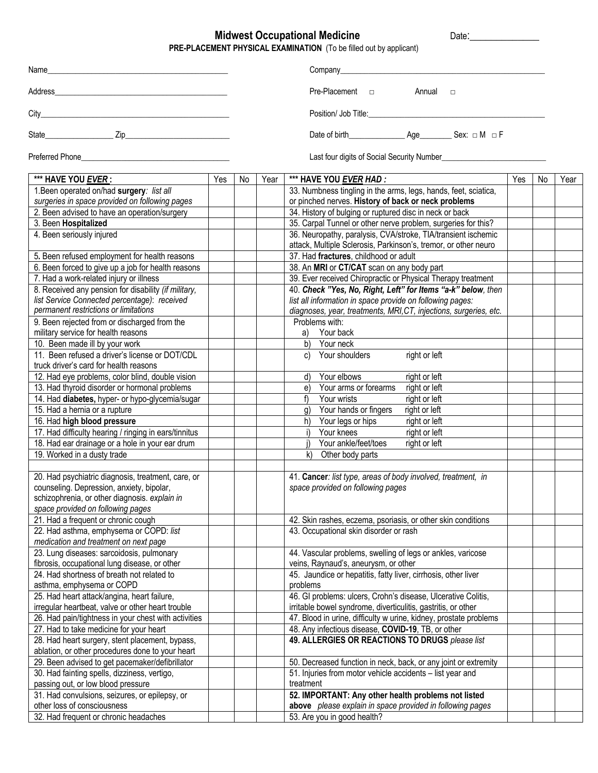## **Midwest Occupational Medicine**   $\blacksquare$  Date:

**PRE-PLACEMENT PHYSICAL EXAMINATION** (To be filled out by applicant)

|                        | Company company company company company company company company company company company company company company |
|------------------------|-----------------------------------------------------------------------------------------------------------------|
| Address                | Pre-Placement <sub>D</sub><br>Annual<br>$\Box$                                                                  |
|                        |                                                                                                                 |
|                        |                                                                                                                 |
| <b>Preferred Phone</b> | Last four digits of Social Security Number                                                                      |

**\*\*\* HAVE YOU** *EVER* **: | Yes | No | Year | \*\*\* HAVE YOU** *EVER HAD :* **| Yes | No | Year** 1.Been operated on/had **surgery***: list all surgeries in space provided on following pages* 33. Numbness tingling in the arms, legs, hands, feet, sciatica, or pinched nerves. **History of back or neck problems** 2. Been advised to have an operation/surgery  $\begin{vmatrix} 1 & 1 \\ 1 & 34 \end{vmatrix}$  34. History of bulging or ruptured disc in neck or back 3. Been **Hospitalized** 35. Carpal Tunnel or other nerve problem, surgeries for this? 4. Been seriously injured 36. Neuropathy, paralysis, CVA/stroke, TIA/transient ischemic attack, Multiple Sclerosis, Parkinson's, tremor, or other neuro 5. Been refused employment for health reasons  $\vert$  | | | | 37. Had **fractures**, childhood or adult 6. Been forced to give up a job for health reasons  $\vert$   $\vert$   $\vert$  38. An **MRI** or **CT/CAT** scan on any body part 7. Had a work-related injury or illness 39. Ever received Chiropractic or Physical Therapy treatment 8. Received any pension for disability *(if military, list Service Connected percentage)*: *received permanent restrictions or limitations*  40. *Check "Yes, No, Right, Left" for Items "a-k" below, then list all information in space provide on following pages: diagnoses, year, treatments, MRI,CT, injections, surgeries, etc.* 9. Been rejected from or discharged from the military service for health reasons Problems with: a) Your back 10. Been made ill by your work b) Your neck 11. Been refused a driver's license or DOT/CDL truck driver's card for health reasons c) Your shoulders right or left 12. Had eye problems, color blind, double vision defined and the d) Your elbows right or left 13. Had thyroid disorder or hormonal problems 13. Had thyroid disorder or hormonal problems  $\vert$   $\vert$  e) Your arms or forearms 14. Had **diabetes**, hyper- or hypo-glycemia/sugar  $\begin{vmatrix} 1 & 1 \\ 1 & 1 \end{vmatrix}$  f) Your wrists right or left 15. Had a hernia or a rupture **gives**  $\begin{array}{ccc} \hline \end{array}$   $\begin{array}{ccc} \hline \end{array}$  g) Your hands or fingers right or left 16. Had **high blood pressure** h) Your legs or hips right or left **h**) Your legs or hips right or left **17.** Had difficulty hearing / ringing in ears/tinnitus **and the contact of the contact of the contact of the contact of** 17. Had difficulty hearing / ringing in ears/tinnitus in the state of the state of the state of the state of the state of the state of the state of the state of the state of the state of the state of the state of the state 18. Had ear drainage or a hole in your ear drum  $\vert$  | | | | | | Your ankle/feet/toes right or left 19. Worked in a dusty trade k) and k) Other body parts 20. Had psychiatric diagnosis, treatment, care, or counseling. Depression, anxiety, bipolar, schizophrenia, or other diagnosis. *explain in space provided on following pages* 41. **Cancer***: list type, areas of body involved, treatment, in space provided on following pages* 21. Had a frequent or chronic cough  $\vert$   $\vert$   $\vert$  42. Skin rashes, eczema, psoriasis, or other skin conditions 22. Had asthma, emphysema or COPD: *list medication and treatment on next page* 43. Occupational skin disorder or rash 23. Lung diseases: sarcoidosis, pulmonary fibrosis, occupational lung disease, or other 44. Vascular problems, swelling of legs or ankles, varicose veins, Raynaud's, aneurysm, or other 24. Had shortness of breath not related to asthma, emphysema or COPD 45. Jaundice or hepatitis, fatty liver, cirrhosis, other liver problems 25. Had heart attack/angina, heart failure, irregular heartbeat, valve or other heart trouble 46. GI problems: ulcers, Crohn's disease, Ulcerative Colitis, irritable bowel syndrome, diverticulitis, gastritis, or other 26. Had pain/tightness in your chest with activities  $\vert$   $\vert$  47. Blood in urine, difficulty w urine, kidney, prostate problems 27. Had to take medicine for your heart  $\begin{vmatrix} 1 & 1 \\ 1 & 48 \end{vmatrix}$  48. Any infectious disease, **COVID-19**, TB, or other 28. Had heart surgery, stent placement, bypass, ablation, or other procedures done to your heart **49. ALLERGIES OR REACTIONS TO DRUGS** *please list* 29. Been advised to get pacemaker/defibrillator 50. Decreased function in neck, back, or any joint or extremity 30. Had fainting spells, dizziness, vertigo, passing out, or low blood pressure 51. Injuries from motor vehicle accidents – list year and treatment 31. Had convulsions, seizures, or epilepsy, or other loss of consciousness **52. IMPORTANT: Any other health problems not listed above** *please explain in space provided in following pages* 32. Had frequent or chronic headaches 53. Are you in good health?